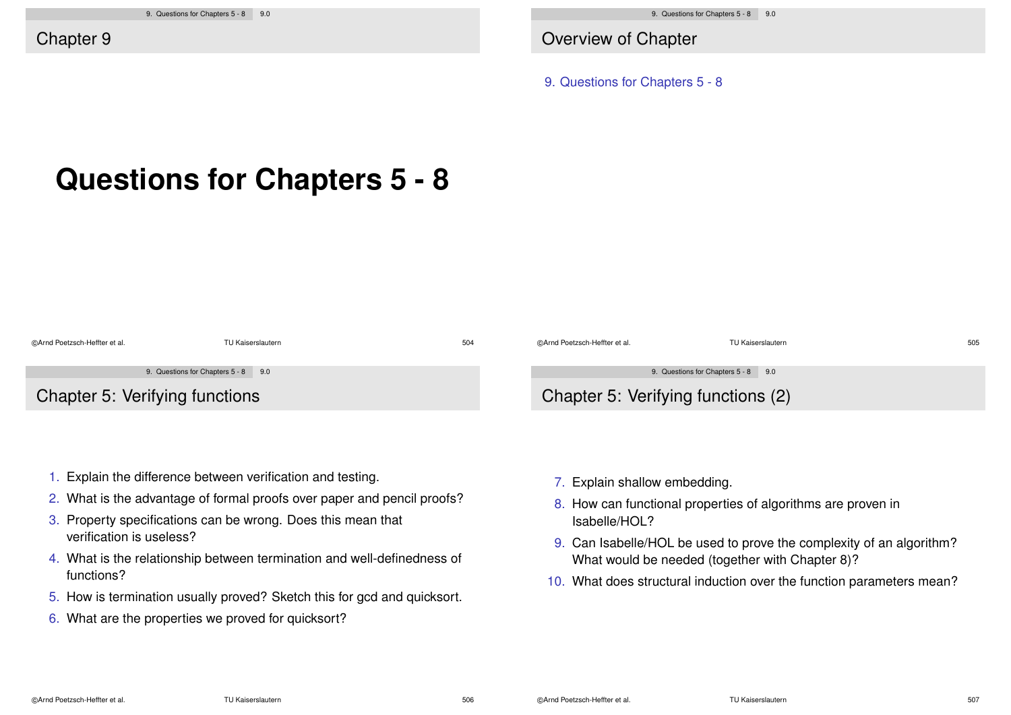Overview of Chapter

9. Questions for Chapters 5 - 8

# **Questions for Chapters 5 - 8**

| @Arnd Poetzsch-Heffter et al.  | TU Kaiserslautern                   | 504 | ©Arnd Poetzsch-Heffter et al.      | TU Kaiserslautern                   | 505 |
|--------------------------------|-------------------------------------|-----|------------------------------------|-------------------------------------|-----|
|                                | 9. Questions for Chapters 5 - 8 9.0 |     |                                    | 9. Questions for Chapters 5 - 8 9.0 |     |
| Chapter 5: Verifying functions |                                     |     | Chapter 5: Verifying functions (2) |                                     |     |

- 1. Explain the difference between verification and testing.
- 2. What is the advantage of formal proofs over paper and pencil proofs?
- 3. Property specifications can be wrong. Does this mean that verification is useless?
- 4. What is the relationship between termination and well-definedness of functions?
- 5. How is termination usually proved? Sketch this for gcd and quicksort.
- 6. What are the properties we proved for quicksort?
- 7. Explain shallow embedding.
- 8. How can functional properties of algorithms are proven in Isabelle/HOL?
- 9. Can Isabelle/HOL be used to prove the complexity of an algorithm? What would be needed (together with Chapter 8)?
- 10. What does structural induction over the function parameters mean?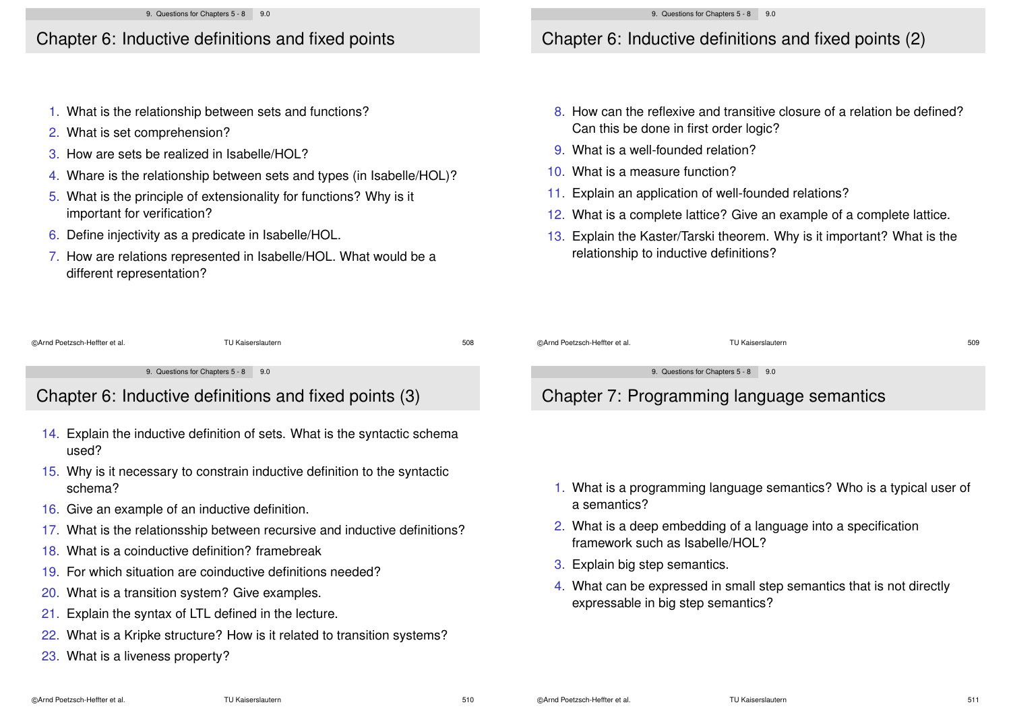### Chapter 6: Inductive definitions and fixed points

- 1. What is the relationship between sets and functions?
- 2. What is set comprehension?
- 3. How are sets be realized in Isabelle/HOL?
- 4. Whare is the relationship between sets and types (in Isabelle/HOL)?
- 5. What is the principle of extensionality for functions? Why is it important for verification?
- 6. Define injectivity as a predicate in Isabelle/HOL.

16. Give an example of an inductive definition.

18. What is a coinductive definition? framebreak

20. What is a transition system? Give examples. 21. Explain the syntax of LTL defined in the lecture.

23. What is a liveness property?

19. For which situation are coinductive definitions needed?

7. How are relations represented in Isabelle/HOL. What would be a different representation?

15. Why is it necessary to constrain inductive definition to the syntactic

17. What is the relationsship between recursive and inductive definitions?

# Chapter 6: Inductive definitions and fixed points (2)

- 8. How can the reflexive and transitive closure of a relation be defined? Can this be done in first order logic?
- 9. What is a well-founded relation?
- 10. What is a measure function?
- 11. Explain an application of well-founded relations?
- 12. What is a complete lattice? Give an example of a complete lattice.
- 13. Explain the Kaster/Tarski theorem. Why is it important? What is the relationship to inductive definitions?

| @Arnd Poetzsch-Heffter et al.                         | TU Kaiserslautern                                                        | 508 | @Arnd Poetzsch-Heffter et al.             | TU Kaiserslautern                   | 509 |
|-------------------------------------------------------|--------------------------------------------------------------------------|-----|-------------------------------------------|-------------------------------------|-----|
|                                                       |                                                                          |     |                                           |                                     |     |
|                                                       | 9. Questions for Chapters 5 - 8 9.0                                      |     |                                           | 9. Questions for Chapters 5 - 8 9.0 |     |
| Chapter 6: Inductive definitions and fixed points (3) |                                                                          |     | Chapter 7: Programming language semantics |                                     |     |
| 14.                                                   | . Explain the inductive definition of sets. What is the syntactic schema |     |                                           |                                     |     |

- 1. What is a programming language semantics? Who is a typical user of a semantics?
- 2. What is a deep embedding of a language into a specification framework such as Isabelle/HOL?
- 3. Explain big step semantics.
- 4. What can be expressed in small step semantics that is not directly expressable in big step semantics?

used?

schema?

22. What is a Kripke structure? How is it related to transition systems?